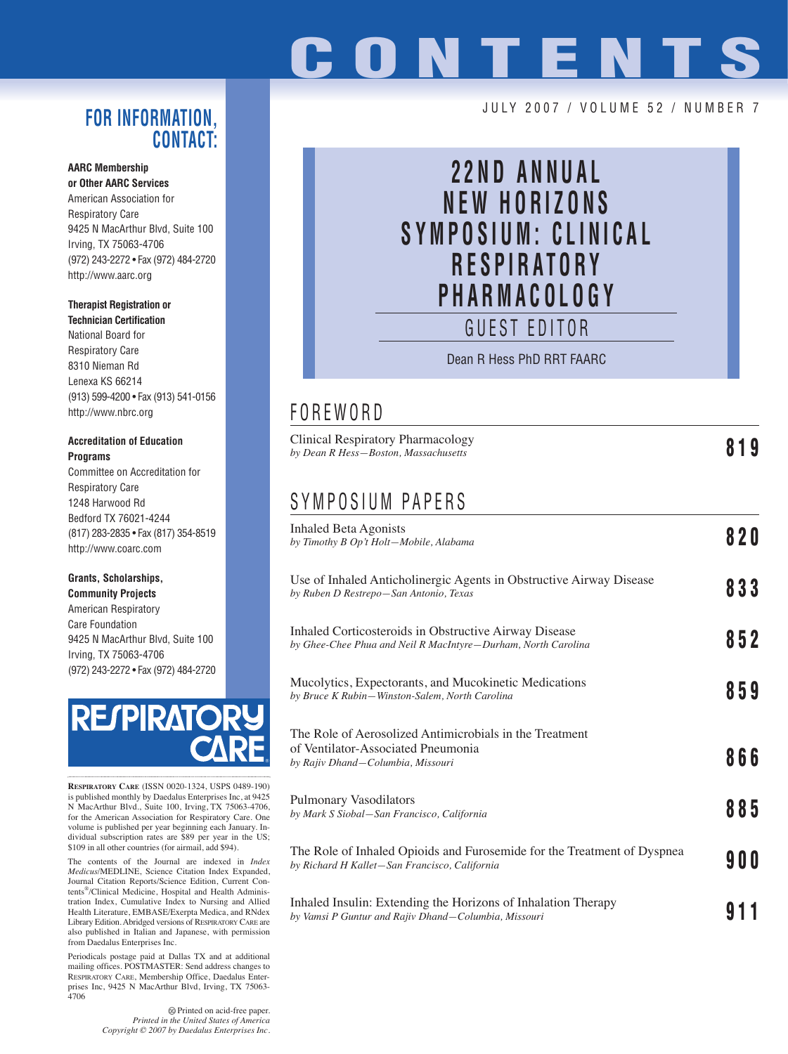# **CONTENTS**

### **FOR INFORMATION, CONTACT:**

#### **AARC Membership or Other AARC Services**

American Association for Respiratory Care 9425 N MacArthur Blvd, Suite 100 Irving, TX 75063-4706 (972) 243-2272 • Fax (972) 484-2720 http://www.aarc.org

#### **Therapist Registration or Technician Certification**

National Board for Respiratory Care 8310 Nieman Rd Lenexa KS 66214 (913) 599-4200 • Fax (913) 541-0156 http://www.nbrc.org

#### **Accreditation of Education Programs**

Committee on Accreditation for Respiratory Care 1248 Harwood Rd Bedford TX 76021-4244 (817) 283-2835 • Fax (817) 354-8519 http://www.coarc.com

### **Grants, Scholarships,**

**Community Projects** American Respiratory Care Foundation 9425 N MacArthur Blvd, Suite 100 Irving, TX 75063-4706 (972) 243-2272 • Fax (972) 484-2720



**RESPIRATORY CARE** (ISSN 0020-1324, USPS 0489-190) is published monthly by Daedalus Enterprises Inc, at 9425 N MacArthur Blvd., Suite 100, Irving, TX 75063-4706, for the American Association for Respiratory Care. One volume is published per year beginning each January. Individual subscription rates are \$89 per year in the US; \$109 in all other countries (for airmail, add \$94).

The contents of the Journal are indexed in *Index Medicus*/MEDLINE, Science Citation Index Expanded, Journal Citation Reports/Science Edition, Current Contents®/Clinical Medicine, Hospital and Health Administration Index, Cumulative Index to Nursing and Allied Health Literature, EMBASE/Exerpta Medica, and RNdex Library Edition. Abridged versions of RESPIRATORY CARE are also published in Italian and Japanese, with permission from Daedalus Enterprises Inc.

Periodicals postage paid at Dallas TX and at additional mailing offices. POSTMASTER: Send address changes to RESPIRATORY CARE, Membership Office, Daedalus Enterprises Inc, 9425 N MacArthur Blvd, Irving, TX 75063- 4706

> $\circledcirc$  Printed on acid-free paper. *Printed in the United States of America Copyright © 2007 by Daedalus Enterprises Inc.*

### JULY 2007 / VOLUME 52 / NUMBER 7

# **22ND ANNUAL NEW HORIZONS SYMPOSIUM: CLINICAL RESPIRATORY PHARMACOLOGY**

GUEST EDITOR

Dean R Hess PhD RRT FAARC

# FOREWORD

| F V K E W V K D                                                                                                          |       |
|--------------------------------------------------------------------------------------------------------------------------|-------|
| <b>Clinical Respiratory Pharmacology</b><br>by Dean R Hess–Boston, Massachusetts                                         | 819   |
| SYMPOSIUM PAPERS                                                                                                         |       |
| <b>Inhaled Beta Agonists</b><br>by Timothy B Op't Holt-Mobile, Alabama                                                   | 820   |
| Use of Inhaled Anticholinergic Agents in Obstructive Airway Disease<br>by Ruben D Restrepo-San Antonio, Texas            | 833   |
| Inhaled Corticosteroids in Obstructive Airway Disease<br>by Ghee-Chee Phua and Neil R MacIntyre–Durham, North Carolina   | 852   |
| Mucolytics, Expectorants, and Mucokinetic Medications<br>by Bruce K Rubin-Winston-Salem, North Carolina                  | 859   |
| The Role of Aerosolized Antimicrobials in the Treatment                                                                  |       |
| of Ventilator-Associated Pneumonia<br>by Rajiv Dhand–Columbia, Missouri                                                  | 866   |
| Pulmonary Vasodilators<br>by Mark S Siobal–San Francisco, California                                                     | 885   |
| The Role of Inhaled Opioids and Furosemide for the Treatment of Dyspnea<br>by Richard H Kallet-San Francisco, California | 9 O O |
|                                                                                                                          |       |

Inhaled Insulin: Extending the Horizons of Inhalation Therapy *by Vamsi P Guntur and Rajiv Dhand—Columbia, Missouri* **911**